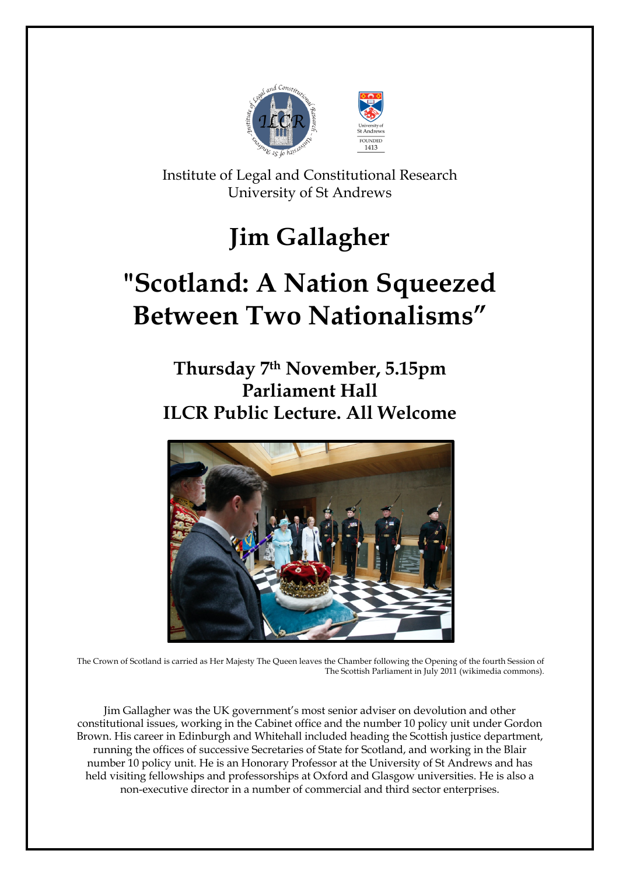

Institute of Legal and Constitutional Research University of St Andrews

## **Jim Gallagher**

# **"Scotland: A Nation Squeezed Between Two Nationalisms"**

### **Thursday 7th November, 5.15pm Parliament Hall ILCR Public Lecture. All Welcome**



The Crown of Scotland is carried as Her Majesty The Queen leaves the Chamber following the Opening of the fourth Session of The Scottish Parliament in July 2011 (wikimedia commons).

Jim Gallagher was the UK government's most senior adviser on devolution and other constitutional issues, working in the Cabinet office and the number 10 policy unit under Gordon Brown. His career in Edinburgh and Whitehall included heading the Scottish justice department, running the offices of successive Secretaries of State for Scotland, and working in the Blair number 10 policy unit. He is an Honorary Professor at the University of St Andrews and has held visiting fellowships and professorships at Oxford and Glasgow universities. He is also a non-executive director in a number of commercial and third sector enterprises.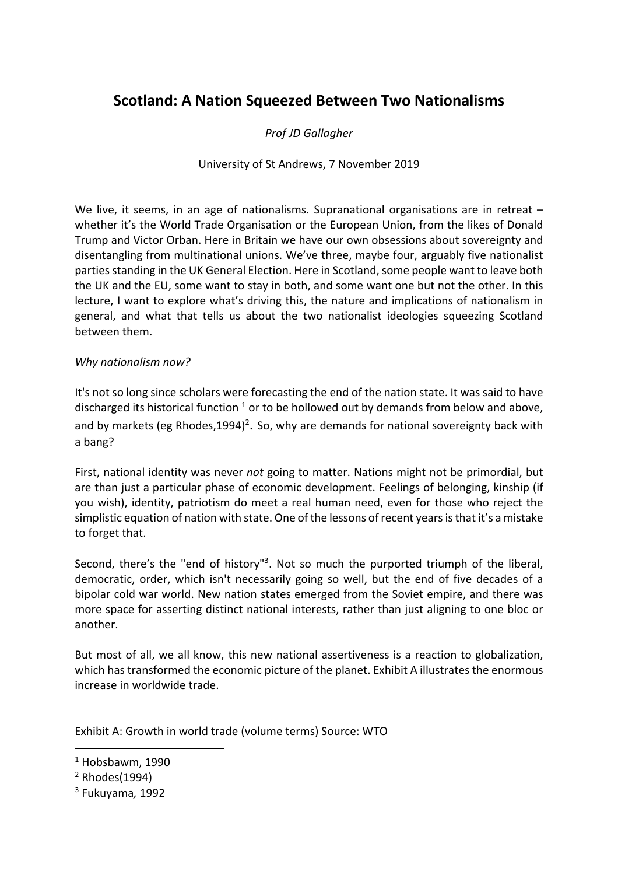### **Scotland: A Nation Squeezed Between Two Nationalisms**

#### *Prof JD Gallagher*

#### University of St Andrews, 7 November 2019

We live, it seems, in an age of nationalisms. Supranational organisations are in retreat – whether it's the World Trade Organisation or the European Union, from the likes of Donald Trump and Victor Orban. Here in Britain we have our own obsessions about sovereignty and disentangling from multinational unions. We've three, maybe four, arguably five nationalist parties standing in the UK General Election. Here in Scotland, some people want to leave both the UK and the EU, some want to stay in both, and some want one but not the other. In this lecture, I want to explore what's driving this, the nature and implications of nationalism in general, and what that tells us about the two nationalist ideologies squeezing Scotland between them.

#### *Why nationalism now?*

It's not so long since scholars were forecasting the end of the nation state. It was said to have discharged its historical function  $1$  or to be hollowed out by demands from below and above, and by markets (eg Rhodes,1994)<sup>2</sup>. So, why are demands for national sovereignty back with a bang?

First, national identity was never *not* going to matter. Nations might not be primordial, but are than just a particular phase of economic development. Feelings of belonging, kinship (if you wish), identity, patriotism do meet a real human need, even for those who reject the simplistic equation of nation with state. One of the lessons of recent years is that it's a mistake to forget that.

Second, there's the "end of history"<sup>3</sup>. Not so much the purported triumph of the liberal, democratic, order, which isn't necessarily going so well, but the end of five decades of a bipolar cold war world. New nation states emerged from the Soviet empire, and there was more space for asserting distinct national interests, rather than just aligning to one bloc or another.

But most of all, we all know, this new national assertiveness is a reaction to globalization, which has transformed the economic picture of the planet. Exhibit A illustrates the enormous increase in worldwide trade.

Exhibit A: Growth in world trade (volume terms) Source: WTO

 $1$  Hobsbawm, 1990

 $2$  Rhodes(1994)

<sup>3</sup> Fukuyama*,* 1992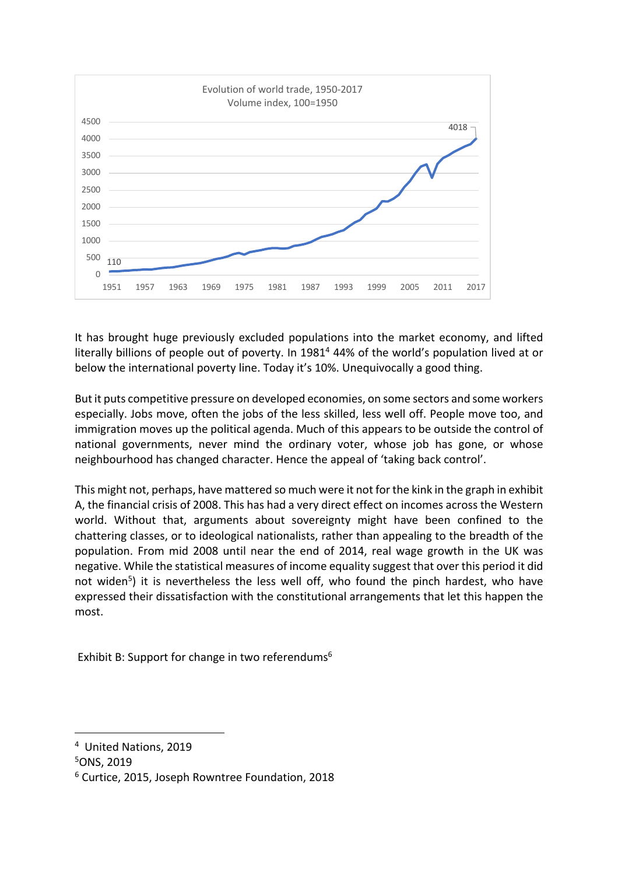

It has brought huge previously excluded populations into the market economy, and lifted literally billions of people out of poverty. In 1981<sup>4</sup> 44% of the world's population lived at or below the international poverty line. Today it's 10%. Unequivocally a good thing.

But it puts competitive pressure on developed economies, on some sectors and some workers especially. Jobs move, often the jobs of the less skilled, less well off. People move too, and immigration moves up the political agenda. Much of this appears to be outside the control of national governments, never mind the ordinary voter, whose job has gone, or whose neighbourhood has changed character. Hence the appeal of 'taking back control'.

This might not, perhaps, have mattered so much were it not for the kink in the graph in exhibit A, the financial crisis of 2008. This has had a very direct effect on incomes across the Western world. Without that, arguments about sovereignty might have been confined to the chattering classes, or to ideological nationalists, rather than appealing to the breadth of the population. From mid 2008 until near the end of 2014, real wage growth in the UK was negative. While the statistical measures of income equality suggest that over this period it did not widen<sup>5</sup>) it is nevertheless the less well off, who found the pinch hardest, who have expressed their dissatisfaction with the constitutional arrangements that let this happen the most.

Exhibit B: Support for change in two referendums<sup>6</sup>

<sup>4</sup> United Nations, 2019

<sup>5</sup>ONS, 2019

<sup>6</sup> Curtice, 2015, Joseph Rowntree Foundation, 2018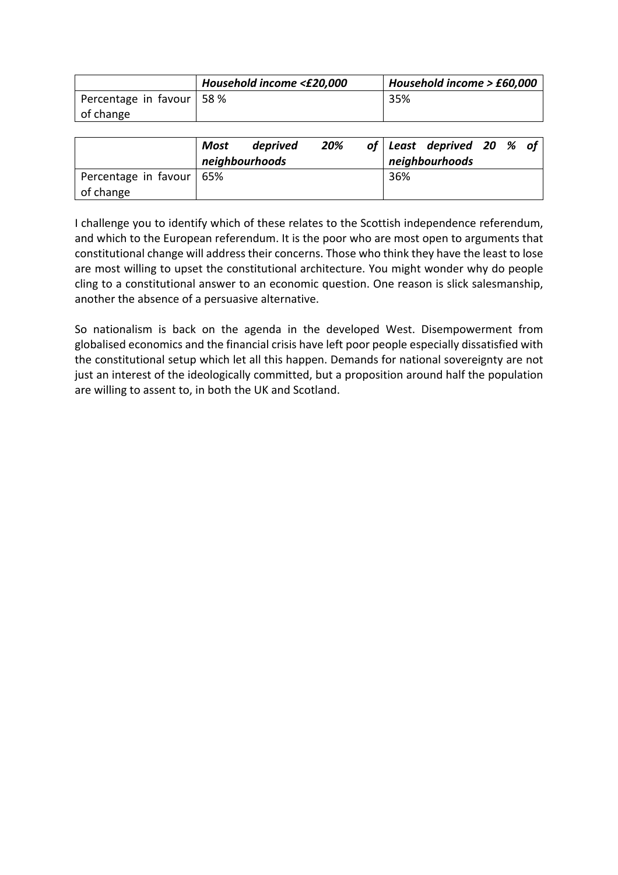|                             | Household income <£20,000 | Household income > £60,000 |
|-----------------------------|---------------------------|----------------------------|
| Percentage in favour   58 % |                           | 35%                        |
| of change                   |                           |                            |

|                            | Most | deprived<br>neighbourhoods | 20% |     | of Least deprived 20 $%$ of<br>neighbourhoods |  |  |
|----------------------------|------|----------------------------|-----|-----|-----------------------------------------------|--|--|
| Percentage in favour   65% |      |                            |     | 36% |                                               |  |  |
| of change                  |      |                            |     |     |                                               |  |  |

I challenge you to identify which of these relates to the Scottish independence referendum, and which to the European referendum. It is the poor who are most open to arguments that constitutional change will address their concerns. Those who think they have the least to lose are most willing to upset the constitutional architecture. You might wonder why do people cling to a constitutional answer to an economic question. One reason is slick salesmanship, another the absence of a persuasive alternative.

So nationalism is back on the agenda in the developed West. Disempowerment from globalised economics and the financial crisis have left poor people especially dissatisfied with the constitutional setup which let all this happen. Demands for national sovereignty are not just an interest of the ideologically committed, but a proposition around half the population are willing to assent to, in both the UK and Scotland.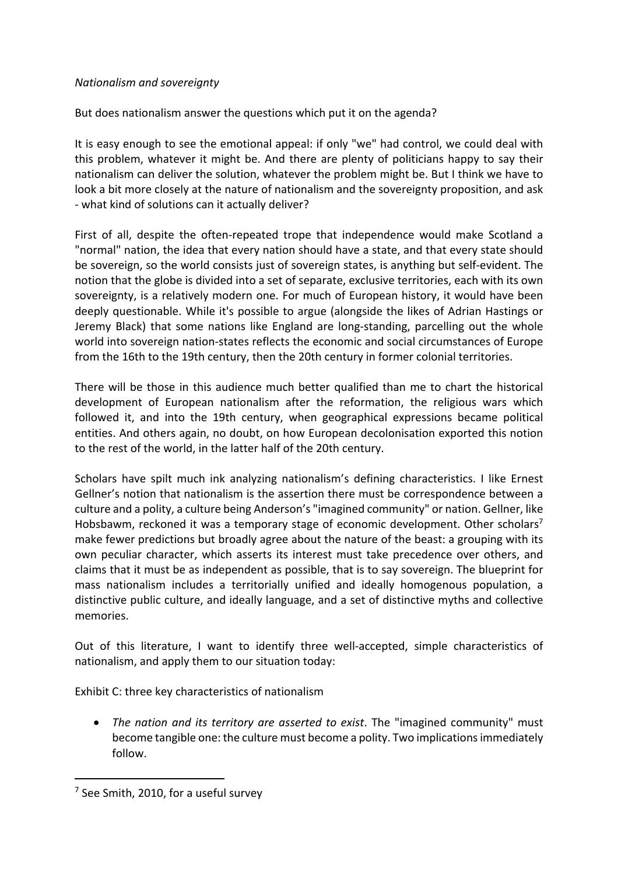#### *Nationalism and sovereignty*

But does nationalism answer the questions which put it on the agenda?

It is easy enough to see the emotional appeal: if only "we" had control, we could deal with this problem, whatever it might be. And there are plenty of politicians happy to say their nationalism can deliver the solution, whatever the problem might be. But I think we have to look a bit more closely at the nature of nationalism and the sovereignty proposition, and ask - what kind of solutions can it actually deliver?

First of all, despite the often-repeated trope that independence would make Scotland a "normal" nation, the idea that every nation should have a state, and that every state should be sovereign, so the world consists just of sovereign states, is anything but self-evident. The notion that the globe is divided into a set of separate, exclusive territories, each with its own sovereignty, is a relatively modern one. For much of European history, it would have been deeply questionable. While it's possible to argue (alongside the likes of Adrian Hastings or Jeremy Black) that some nations like England are long-standing, parcelling out the whole world into sovereign nation-states reflects the economic and social circumstances of Europe from the 16th to the 19th century, then the 20th century in former colonial territories.

There will be those in this audience much better qualified than me to chart the historical development of European nationalism after the reformation, the religious wars which followed it, and into the 19th century, when geographical expressions became political entities. And others again, no doubt, on how European decolonisation exported this notion to the rest of the world, in the latter half of the 20th century.

Scholars have spilt much ink analyzing nationalism's defining characteristics. I like Ernest Gellner's notion that nationalism is the assertion there must be correspondence between a culture and a polity, a culture being Anderson's "imagined community" or nation. Gellner, like Hobsbawm, reckoned it was a temporary stage of economic development. Other scholars<sup>7</sup> make fewer predictions but broadly agree about the nature of the beast: a grouping with its own peculiar character, which asserts its interest must take precedence over others, and claims that it must be as independent as possible, that is to say sovereign. The blueprint for mass nationalism includes a territorially unified and ideally homogenous population, a distinctive public culture, and ideally language, and a set of distinctive myths and collective memories.

Out of this literature, I want to identify three well-accepted, simple characteristics of nationalism, and apply them to our situation today:

Exhibit C: three key characteristics of nationalism

• *The nation and its territory are asserted to exist*. The "imagined community" must become tangible one: the culture must become a polity. Two implications immediately follow.

<sup>7</sup> See Smith, 2010, for a useful survey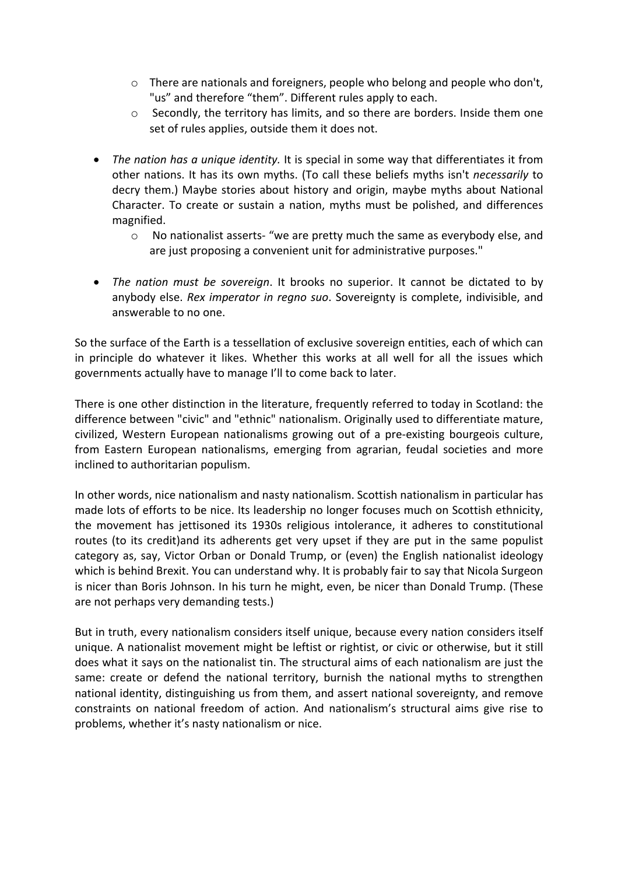- $\circ$  There are nationals and foreigners, people who belong and people who don't, "us" and therefore "them". Different rules apply to each.
- o Secondly, the territory has limits, and so there are borders. Inside them one set of rules applies, outside them it does not.
- *The nation has a unique identity.* It is special in some way that differentiates it from other nations. It has its own myths. (To call these beliefs myths isn't *necessarily* to decry them.) Maybe stories about history and origin, maybe myths about National Character. To create or sustain a nation, myths must be polished, and differences magnified.
	- o No nationalist asserts- "we are pretty much the same as everybody else, and are just proposing a convenient unit for administrative purposes."
- *The nation must be sovereign*. It brooks no superior. It cannot be dictated to by anybody else. *Rex imperator in regno suo*. Sovereignty is complete, indivisible, and answerable to no one.

So the surface of the Earth is a tessellation of exclusive sovereign entities, each of which can in principle do whatever it likes. Whether this works at all well for all the issues which governments actually have to manage I'll to come back to later.

There is one other distinction in the literature, frequently referred to today in Scotland: the difference between "civic" and "ethnic" nationalism. Originally used to differentiate mature, civilized, Western European nationalisms growing out of a pre-existing bourgeois culture, from Eastern European nationalisms, emerging from agrarian, feudal societies and more inclined to authoritarian populism.

In other words, nice nationalism and nasty nationalism. Scottish nationalism in particular has made lots of efforts to be nice. Its leadership no longer focuses much on Scottish ethnicity, the movement has jettisoned its 1930s religious intolerance, it adheres to constitutional routes (to its credit)and its adherents get very upset if they are put in the same populist category as, say, Victor Orban or Donald Trump, or (even) the English nationalist ideology which is behind Brexit. You can understand why. It is probably fair to say that Nicola Surgeon is nicer than Boris Johnson. In his turn he might, even, be nicer than Donald Trump. (These are not perhaps very demanding tests.)

But in truth, every nationalism considers itself unique, because every nation considers itself unique. A nationalist movement might be leftist or rightist, or civic or otherwise, but it still does what it says on the nationalist tin. The structural aims of each nationalism are just the same: create or defend the national territory, burnish the national myths to strengthen national identity, distinguishing us from them, and assert national sovereignty, and remove constraints on national freedom of action. And nationalism's structural aims give rise to problems, whether it's nasty nationalism or nice.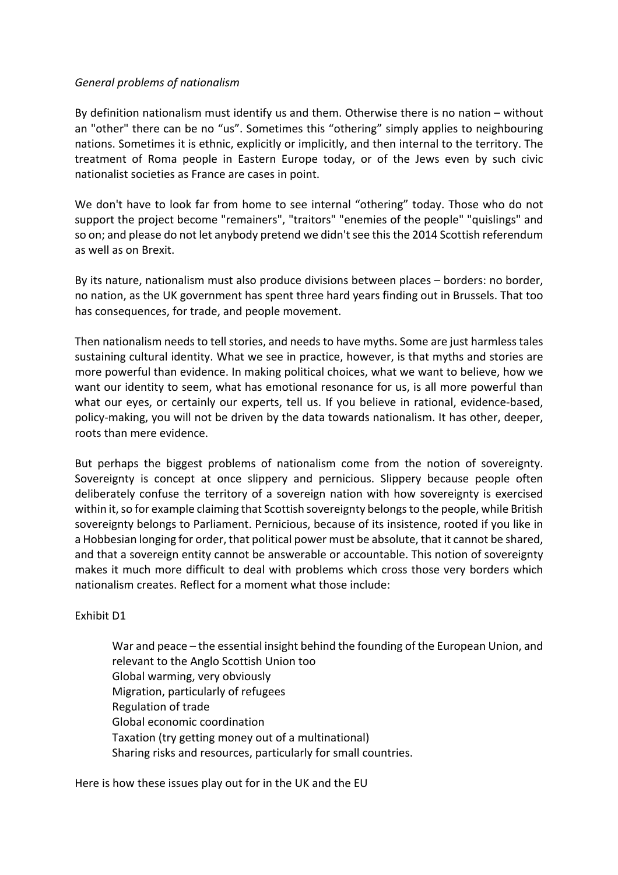#### *General problems of nationalism*

By definition nationalism must identify us and them. Otherwise there is no nation – without an "other" there can be no "us". Sometimes this "othering" simply applies to neighbouring nations. Sometimes it is ethnic, explicitly or implicitly, and then internal to the territory. The treatment of Roma people in Eastern Europe today, or of the Jews even by such civic nationalist societies as France are cases in point.

We don't have to look far from home to see internal "othering" today. Those who do not support the project become "remainers", "traitors" "enemies of the people" "quislings" and so on; and please do not let anybody pretend we didn't see this the 2014 Scottish referendum as well as on Brexit.

By its nature, nationalism must also produce divisions between places – borders: no border, no nation, as the UK government has spent three hard years finding out in Brussels. That too has consequences, for trade, and people movement.

Then nationalism needs to tell stories, and needs to have myths. Some are just harmless tales sustaining cultural identity. What we see in practice, however, is that myths and stories are more powerful than evidence. In making political choices, what we want to believe, how we want our identity to seem, what has emotional resonance for us, is all more powerful than what our eyes, or certainly our experts, tell us. If you believe in rational, evidence-based, policy-making, you will not be driven by the data towards nationalism. It has other, deeper, roots than mere evidence.

But perhaps the biggest problems of nationalism come from the notion of sovereignty. Sovereignty is concept at once slippery and pernicious. Slippery because people often deliberately confuse the territory of a sovereign nation with how sovereignty is exercised within it, so for example claiming that Scottish sovereignty belongs to the people, while British sovereignty belongs to Parliament. Pernicious, because of its insistence, rooted if you like in a Hobbesian longing for order, that political power must be absolute, that it cannot be shared, and that a sovereign entity cannot be answerable or accountable. This notion of sovereignty makes it much more difficult to deal with problems which cross those very borders which nationalism creates. Reflect for a moment what those include:

#### Exhibit D1

War and peace – the essential insight behind the founding of the European Union, and relevant to the Anglo Scottish Union too Global warming, very obviously Migration, particularly of refugees Regulation of trade Global economic coordination Taxation (try getting money out of a multinational) Sharing risks and resources, particularly for small countries.

Here is how these issues play out for in the UK and the EU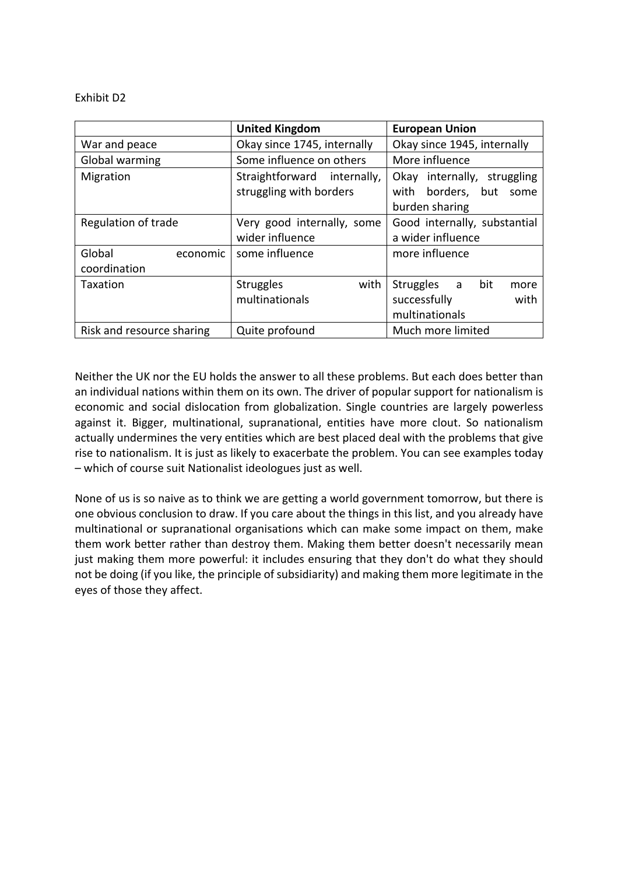#### Exhibit D2

|                           | <b>United Kingdom</b>       | <b>European Union</b>        |  |  |  |  |
|---------------------------|-----------------------------|------------------------------|--|--|--|--|
| War and peace             | Okay since 1745, internally | Okay since 1945, internally  |  |  |  |  |
| Global warming            | Some influence on others    | More influence               |  |  |  |  |
| Migration                 | Straightforward internally, | Okay internally, struggling  |  |  |  |  |
|                           | struggling with borders     | with borders, but<br>some    |  |  |  |  |
|                           |                             | burden sharing               |  |  |  |  |
| Regulation of trade       | Very good internally, some  | Good internally, substantial |  |  |  |  |
|                           | wider influence             | a wider influence            |  |  |  |  |
| Global<br>economic        | some influence              | more influence               |  |  |  |  |
| coordination              |                             |                              |  |  |  |  |
| Taxation                  | <b>Struggles</b><br>with    | bit<br>Struggles a<br>more   |  |  |  |  |
|                           | multinationals              | successfully<br>with         |  |  |  |  |
|                           |                             | multinationals               |  |  |  |  |
| Risk and resource sharing | Quite profound              | Much more limited            |  |  |  |  |

Neither the UK nor the EU holds the answer to all these problems. But each does better than an individual nations within them on its own. The driver of popular support for nationalism is economic and social dislocation from globalization. Single countries are largely powerless against it. Bigger, multinational, supranational, entities have more clout. So nationalism actually undermines the very entities which are best placed deal with the problems that give rise to nationalism. It is just as likely to exacerbate the problem. You can see examples today – which of course suit Nationalist ideologues just as well.

None of us is so naive as to think we are getting a world government tomorrow, but there is one obvious conclusion to draw. If you care about the things in this list, and you already have multinational or supranational organisations which can make some impact on them, make them work better rather than destroy them. Making them better doesn't necessarily mean just making them more powerful: it includes ensuring that they don't do what they should not be doing (if you like, the principle of subsidiarity) and making them more legitimate in the eyes of those they affect.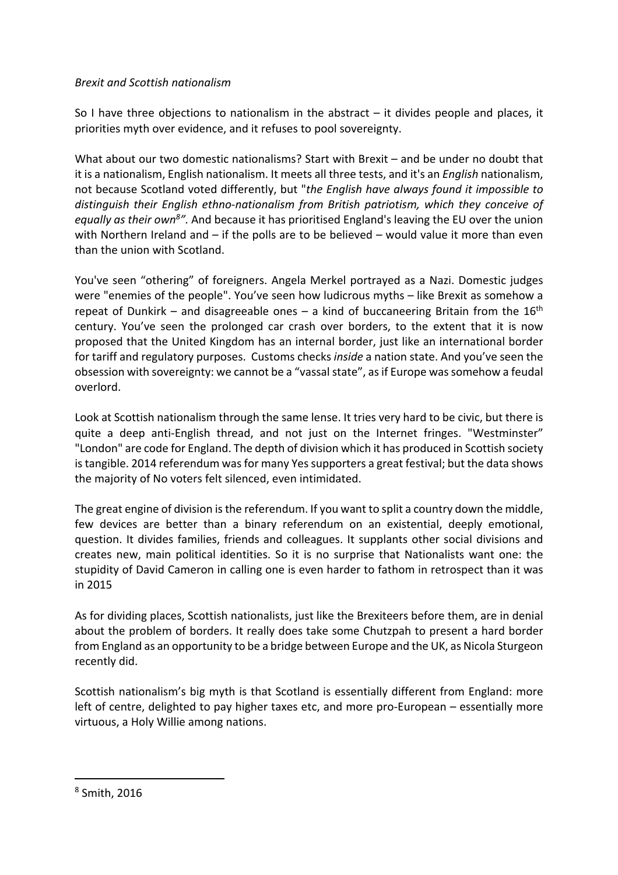#### *Brexit and Scottish nationalism*

So I have three objections to nationalism in the abstract  $-$  it divides people and places, it priorities myth over evidence, and it refuses to pool sovereignty.

What about our two domestic nationalisms? Start with Brexit – and be under no doubt that it is a nationalism, English nationalism. It meets all three tests, and it's an *English* nationalism, not because Scotland voted differently, but "*the English have always found it impossible to distinguish their English ethno-nationalism from British patriotism, which they conceive of*  equally as their own<sup>8</sup>". And because it has prioritised England's leaving the EU over the union with Northern Ireland and – if the polls are to be believed – would value it more than even than the union with Scotland.

You've seen "othering" of foreigners. Angela Merkel portrayed as a Nazi. Domestic judges were "enemies of the people". You've seen how ludicrous myths – like Brexit as somehow a repeat of Dunkirk – and disagreeable ones – a kind of buccaneering Britain from the  $16<sup>th</sup>$ century. You've seen the prolonged car crash over borders, to the extent that it is now proposed that the United Kingdom has an internal border, just like an international border for tariff and regulatory purposes. Customs checks *inside* a nation state. And you've seen the obsession with sovereignty: we cannot be a "vassal state", as if Europe was somehow a feudal overlord.

Look at Scottish nationalism through the same lense. It tries very hard to be civic, but there is quite a deep anti-English thread, and not just on the Internet fringes. "Westminster" "London" are code for England. The depth of division which it has produced in Scottish society is tangible. 2014 referendum was for many Yes supporters a great festival; but the data shows the majority of No voters felt silenced, even intimidated.

The great engine of division is the referendum. If you want to split a country down the middle, few devices are better than a binary referendum on an existential, deeply emotional, question. It divides families, friends and colleagues. It supplants other social divisions and creates new, main political identities. So it is no surprise that Nationalists want one: the stupidity of David Cameron in calling one is even harder to fathom in retrospect than it was in 2015

As for dividing places, Scottish nationalists, just like the Brexiteers before them, are in denial about the problem of borders. It really does take some Chutzpah to present a hard border from England as an opportunity to be a bridge between Europe and the UK, as Nicola Sturgeon recently did.

Scottish nationalism's big myth is that Scotland is essentially different from England: more left of centre, delighted to pay higher taxes etc, and more pro-European – essentially more virtuous, a Holy Willie among nations.

<sup>8</sup> Smith, 2016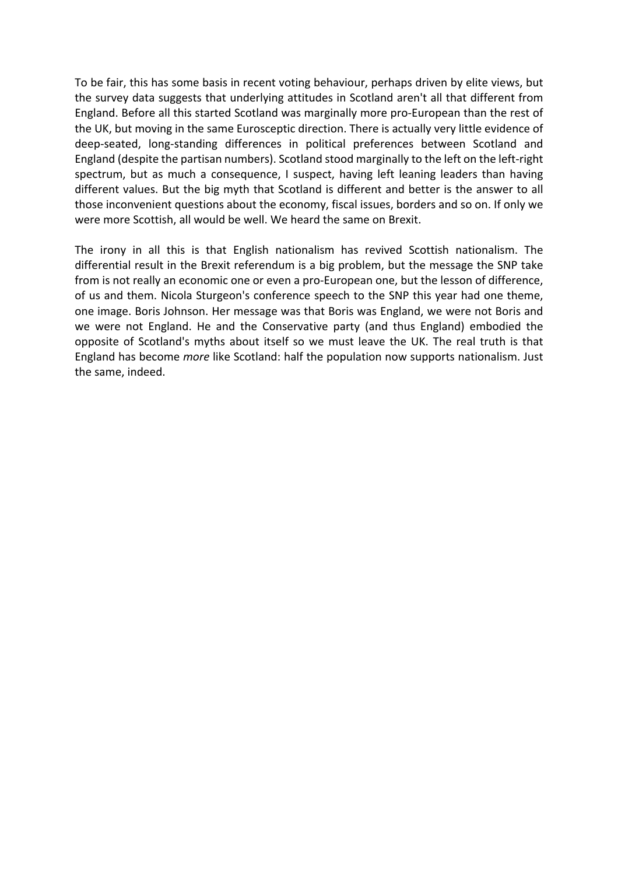To be fair, this has some basis in recent voting behaviour, perhaps driven by elite views, but the survey data suggests that underlying attitudes in Scotland aren't all that different from England. Before all this started Scotland was marginally more pro-European than the rest of the UK, but moving in the same Eurosceptic direction. There is actually very little evidence of deep-seated, long-standing differences in political preferences between Scotland and England (despite the partisan numbers). Scotland stood marginally to the left on the left-right spectrum, but as much a consequence, I suspect, having left leaning leaders than having different values. But the big myth that Scotland is different and better is the answer to all those inconvenient questions about the economy, fiscal issues, borders and so on. If only we were more Scottish, all would be well. We heard the same on Brexit.

The irony in all this is that English nationalism has revived Scottish nationalism. The differential result in the Brexit referendum is a big problem, but the message the SNP take from is not really an economic one or even a pro-European one, but the lesson of difference, of us and them. Nicola Sturgeon's conference speech to the SNP this year had one theme, one image. Boris Johnson. Her message was that Boris was England, we were not Boris and we were not England. He and the Conservative party (and thus England) embodied the opposite of Scotland's myths about itself so we must leave the UK. The real truth is that England has become *more* like Scotland: half the population now supports nationalism. Just the same, indeed.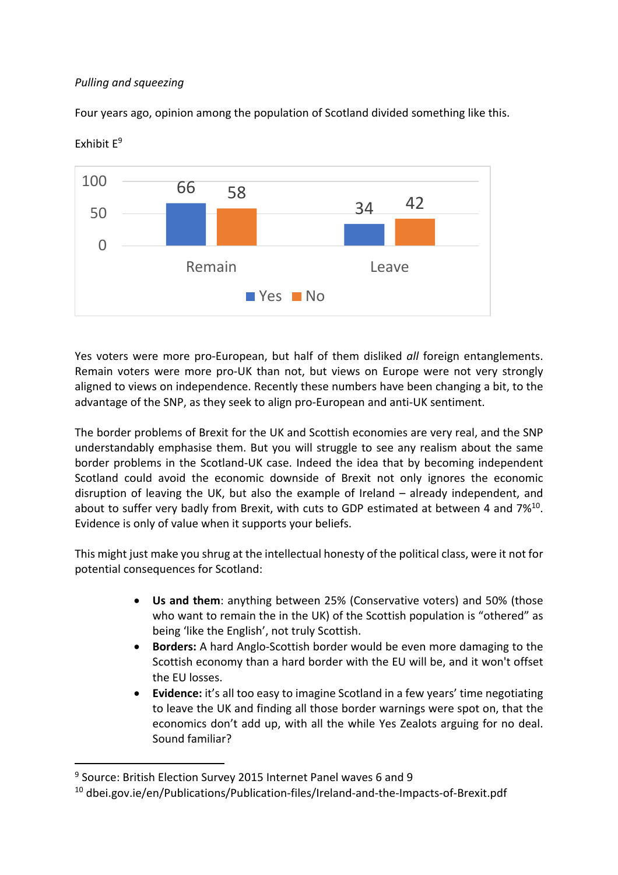#### *Pulling and squeezing*

Four years ago, opinion among the population of Scotland divided something like this.



Exhibit E9

Yes voters were more pro-European, but half of them disliked *all* foreign entanglements. Remain voters were more pro-UK than not, but views on Europe were not very strongly aligned to views on independence. Recently these numbers have been changing a bit, to the advantage of the SNP, as they seek to align pro-European and anti-UK sentiment.

The border problems of Brexit for the UK and Scottish economies are very real, and the SNP understandably emphasise them. But you will struggle to see any realism about the same border problems in the Scotland-UK case. Indeed the idea that by becoming independent Scotland could avoid the economic downside of Brexit not only ignores the economic disruption of leaving the UK, but also the example of Ireland – already independent, and about to suffer very badly from Brexit, with cuts to GDP estimated at between 4 and 7%10. Evidence is only of value when it supports your beliefs.

This might just make you shrug at the intellectual honesty of the political class, were it not for potential consequences for Scotland:

- **Us and them**: anything between 25% (Conservative voters) and 50% (those who want to remain the in the UK) of the Scottish population is "othered" as being 'like the English', not truly Scottish.
- **Borders:** A hard Anglo-Scottish border would be even more damaging to the Scottish economy than a hard border with the EU will be, and it won't offset the EU losses.
- **Evidence:** it's all too easy to imagine Scotland in a few years' time negotiating to leave the UK and finding all those border warnings were spot on, that the economics don't add up, with all the while Yes Zealots arguing for no deal. Sound familiar?

<sup>9</sup> Source: British Election Survey 2015 Internet Panel waves 6 and 9

<sup>10</sup> dbei.gov.ie/en/Publications/Publication-files/Ireland-and-the-Impacts-of-Brexit.pdf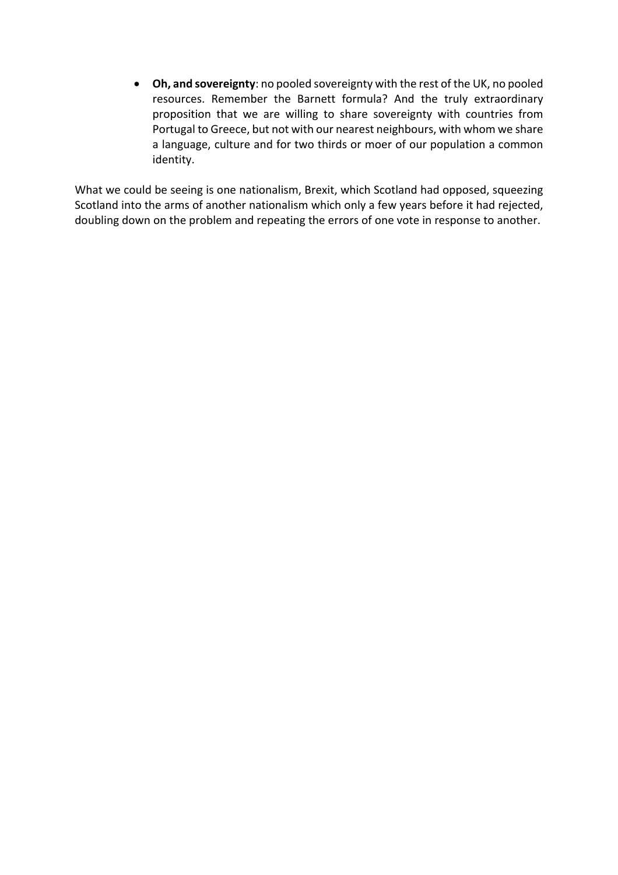• **Oh, and sovereignty**: no pooled sovereignty with the rest of the UK, no pooled resources. Remember the Barnett formula? And the truly extraordinary proposition that we are willing to share sovereignty with countries from Portugal to Greece, but not with our nearest neighbours, with whom we share a language, culture and for two thirds or moer of our population a common identity.

What we could be seeing is one nationalism, Brexit, which Scotland had opposed, squeezing Scotland into the arms of another nationalism which only a few years before it had rejected, doubling down on the problem and repeating the errors of one vote in response to another.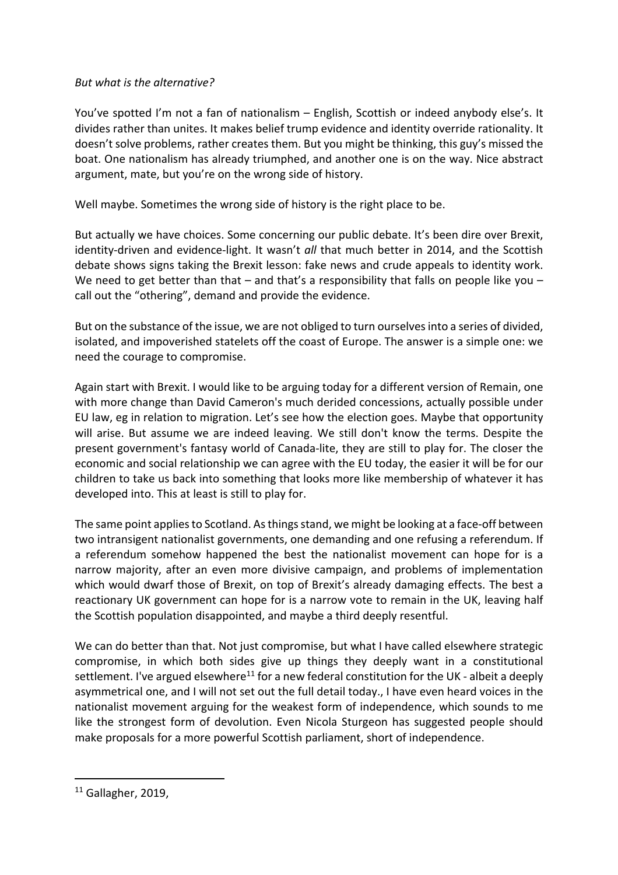#### *But what is the alternative?*

You've spotted I'm not a fan of nationalism – English, Scottish or indeed anybody else's. It divides rather than unites. It makes belief trump evidence and identity override rationality. It doesn't solve problems, rather creates them. But you might be thinking, this guy's missed the boat. One nationalism has already triumphed, and another one is on the way. Nice abstract argument, mate, but you're on the wrong side of history.

Well maybe. Sometimes the wrong side of history is the right place to be.

But actually we have choices. Some concerning our public debate. It's been dire over Brexit, identity-driven and evidence-light. It wasn't *all* that much better in 2014, and the Scottish debate shows signs taking the Brexit lesson: fake news and crude appeals to identity work. We need to get better than that – and that's a responsibility that falls on people like you – call out the "othering", demand and provide the evidence.

But on the substance of the issue, we are not obliged to turn ourselvesinto a series of divided, isolated, and impoverished statelets off the coast of Europe. The answer is a simple one: we need the courage to compromise.

Again start with Brexit. I would like to be arguing today for a different version of Remain, one with more change than David Cameron's much derided concessions, actually possible under EU law, eg in relation to migration. Let's see how the election goes. Maybe that opportunity will arise. But assume we are indeed leaving. We still don't know the terms. Despite the present government's fantasy world of Canada-lite, they are still to play for. The closer the economic and social relationship we can agree with the EU today, the easier it will be for our children to take us back into something that looks more like membership of whatever it has developed into. This at least is still to play for.

The same point applies to Scotland. As things stand, we might be looking at a face-off between two intransigent nationalist governments, one demanding and one refusing a referendum. If a referendum somehow happened the best the nationalist movement can hope for is a narrow majority, after an even more divisive campaign, and problems of implementation which would dwarf those of Brexit, on top of Brexit's already damaging effects. The best a reactionary UK government can hope for is a narrow vote to remain in the UK, leaving half the Scottish population disappointed, and maybe a third deeply resentful.

We can do better than that. Not just compromise, but what I have called elsewhere strategic compromise, in which both sides give up things they deeply want in a constitutional settlement. I've argued elsewhere<sup>11</sup> for a new federal constitution for the UK - albeit a deeply asymmetrical one, and I will not set out the full detail today., I have even heard voices in the nationalist movement arguing for the weakest form of independence, which sounds to me like the strongest form of devolution. Even Nicola Sturgeon has suggested people should make proposals for a more powerful Scottish parliament, short of independence.

<sup>&</sup>lt;sup>11</sup> Gallagher, 2019,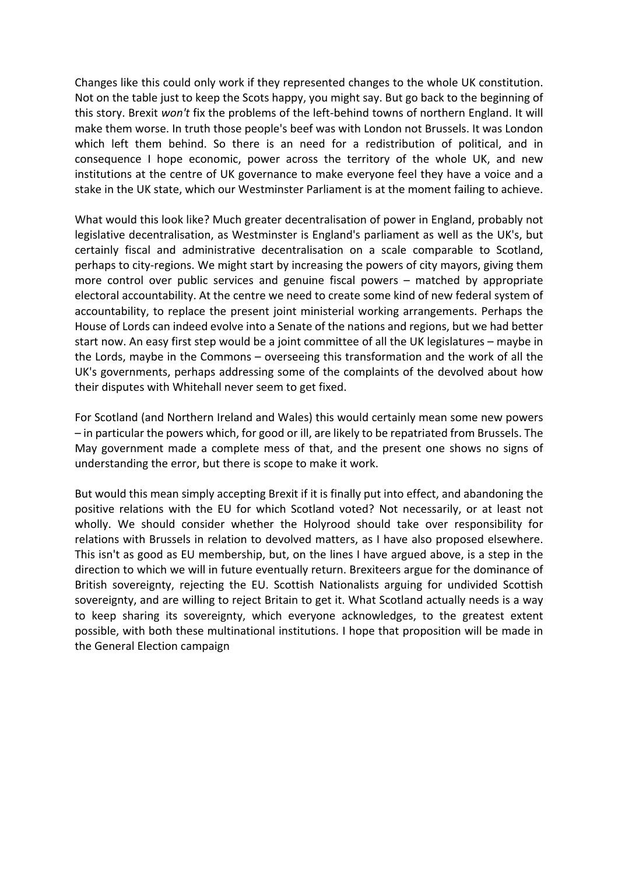Changes like this could only work if they represented changes to the whole UK constitution. Not on the table just to keep the Scots happy, you might say. But go back to the beginning of this story. Brexit *won't* fix the problems of the left-behind towns of northern England. It will make them worse. In truth those people's beef was with London not Brussels. It was London which left them behind. So there is an need for a redistribution of political, and in consequence I hope economic, power across the territory of the whole UK, and new institutions at the centre of UK governance to make everyone feel they have a voice and a stake in the UK state, which our Westminster Parliament is at the moment failing to achieve.

What would this look like? Much greater decentralisation of power in England, probably not legislative decentralisation, as Westminster is England's parliament as well as the UK's, but certainly fiscal and administrative decentralisation on a scale comparable to Scotland, perhaps to city-regions. We might start by increasing the powers of city mayors, giving them more control over public services and genuine fiscal powers – matched by appropriate electoral accountability. At the centre we need to create some kind of new federal system of accountability, to replace the present joint ministerial working arrangements. Perhaps the House of Lords can indeed evolve into a Senate of the nations and regions, but we had better start now. An easy first step would be a joint committee of all the UK legislatures – maybe in the Lords, maybe in the Commons – overseeing this transformation and the work of all the UK's governments, perhaps addressing some of the complaints of the devolved about how their disputes with Whitehall never seem to get fixed.

For Scotland (and Northern Ireland and Wales) this would certainly mean some new powers – in particular the powers which, for good or ill, are likely to be repatriated from Brussels. The May government made a complete mess of that, and the present one shows no signs of understanding the error, but there is scope to make it work.

But would this mean simply accepting Brexit if it is finally put into effect, and abandoning the positive relations with the EU for which Scotland voted? Not necessarily, or at least not wholly. We should consider whether the Holyrood should take over responsibility for relations with Brussels in relation to devolved matters, as I have also proposed elsewhere. This isn't as good as EU membership, but, on the lines I have argued above, is a step in the direction to which we will in future eventually return. Brexiteers argue for the dominance of British sovereignty, rejecting the EU. Scottish Nationalists arguing for undivided Scottish sovereignty, and are willing to reject Britain to get it. What Scotland actually needs is a way to keep sharing its sovereignty, which everyone acknowledges, to the greatest extent possible, with both these multinational institutions. I hope that proposition will be made in the General Election campaign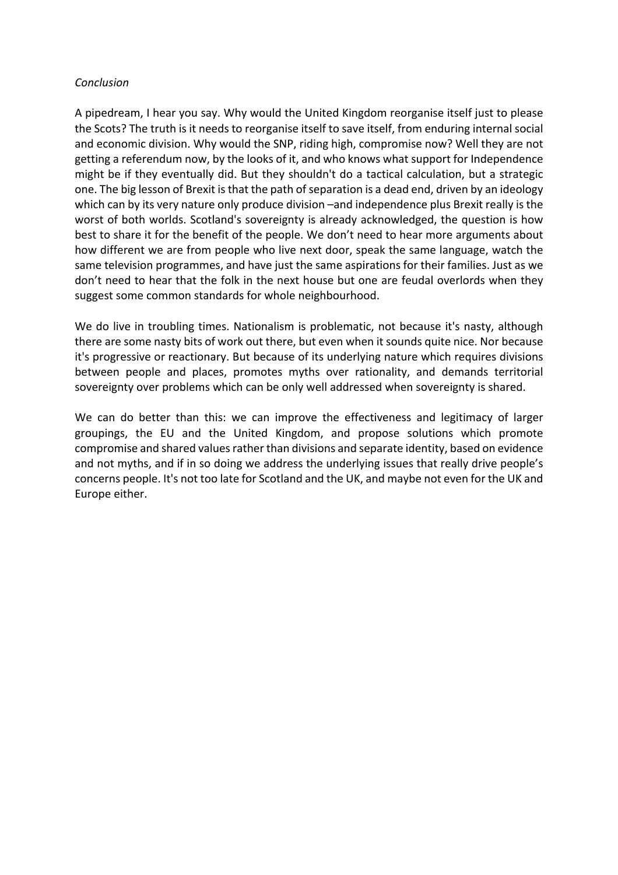#### *Conclusion*

A pipedream, I hear you say. Why would the United Kingdom reorganise itself just to please the Scots? The truth is it needs to reorganise itself to save itself, from enduring internal social and economic division. Why would the SNP, riding high, compromise now? Well they are not getting a referendum now, by the looks of it, and who knows what support for Independence might be if they eventually did. But they shouldn't do a tactical calculation, but a strategic one. The big lesson of Brexit is that the path of separation is a dead end, driven by an ideology which can by its very nature only produce division –and independence plus Brexit really is the worst of both worlds. Scotland's sovereignty is already acknowledged, the question is how best to share it for the benefit of the people. We don't need to hear more arguments about how different we are from people who live next door, speak the same language, watch the same television programmes, and have just the same aspirations for their families. Just as we don't need to hear that the folk in the next house but one are feudal overlords when they suggest some common standards for whole neighbourhood.

We do live in troubling times. Nationalism is problematic, not because it's nasty, although there are some nasty bits of work out there, but even when it sounds quite nice. Nor because it's progressive or reactionary. But because of its underlying nature which requires divisions between people and places, promotes myths over rationality, and demands territorial sovereignty over problems which can be only well addressed when sovereignty is shared.

We can do better than this: we can improve the effectiveness and legitimacy of larger groupings, the EU and the United Kingdom, and propose solutions which promote compromise and shared values rather than divisions and separate identity, based on evidence and not myths, and if in so doing we address the underlying issues that really drive people's concerns people. It's not too late for Scotland and the UK, and maybe not even for the UK and Europe either.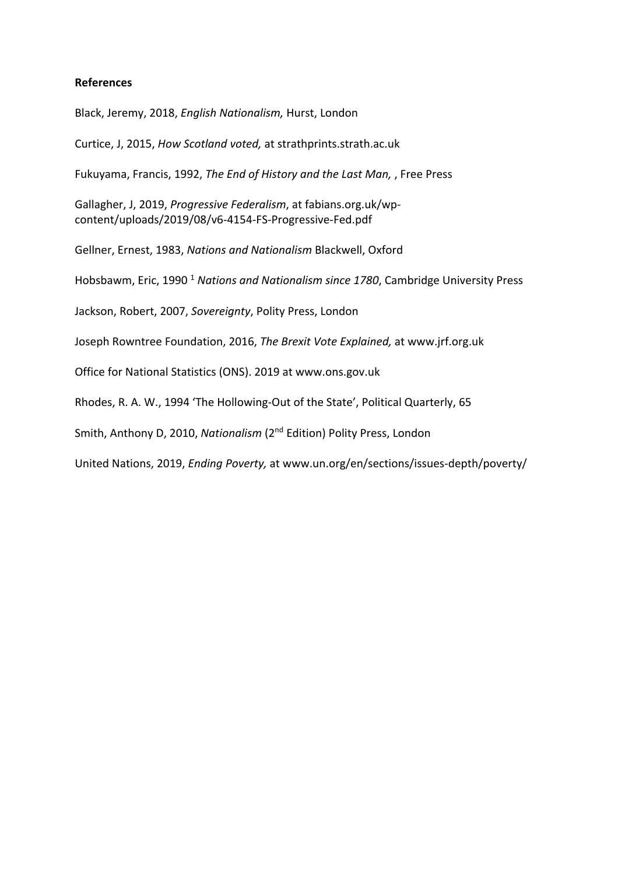#### **References**

Black, Jeremy, 2018, *English Nationalism,* Hurst, London

Curtice, J, 2015, *How Scotland voted,* at strathprints.strath.ac.uk

Fukuyama, Francis, 1992, *The End of History and the Last Man,* , Free Press

Gallagher, J, 2019, *Progressive Federalism*, at fabians.org.uk/wpcontent/uploads/2019/08/v6-4154-FS-Progressive-Fed.pdf

Gellner, Ernest, 1983, *Nations and Nationalism* Blackwell, Oxford

Hobsbawm, Eric, 1990 <sup>1</sup> *Nations and Nationalism since 1780*, Cambridge University Press

Jackson, Robert, 2007, *Sovereignty*, Polity Press, London

Joseph Rowntree Foundation, 2016, *The Brexit Vote Explained,* at www.jrf.org.uk

Office for National Statistics (ONS). 2019 at www.ons.gov.uk

Rhodes, R. A. W., 1994 'The Hollowing-Out of the State', Political Quarterly, 65

Smith, Anthony D, 2010, *Nationalism* (2nd Edition) Polity Press, London

United Nations, 2019, *Ending Poverty,* at www.un.org/en/sections/issues-depth/poverty/